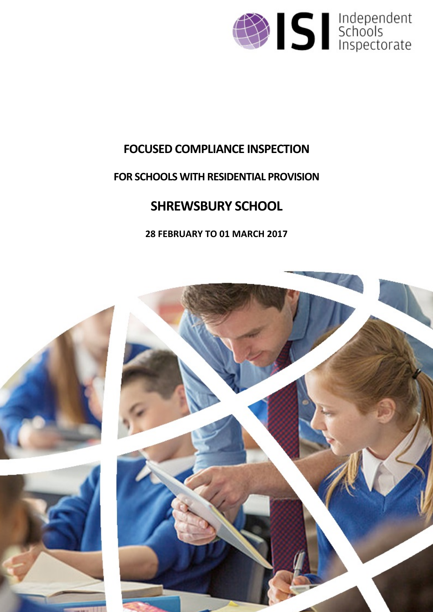

# **FOCUSED COMPLIANCE INSPECTION**

# **FOR SCHOOLS WITH RESIDENTIAL PROVISION**

# **SHREWSBURY SCHOOL**

# **28 FEBRUARY TO 01 MARCH 2017**

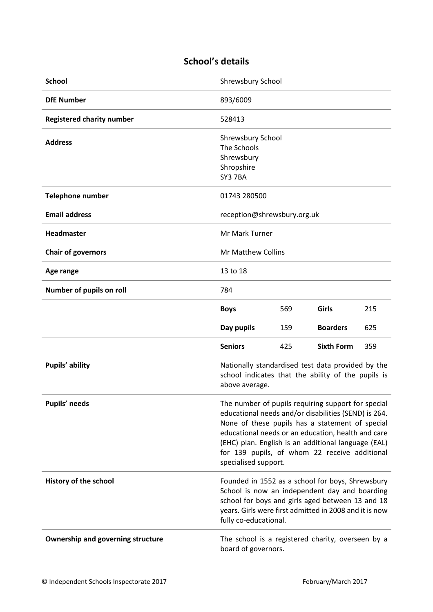# **School's details**

| <b>School</b>                            | Shrewsbury School                                                                                                                                                                                                                                                                                                                                   |     |                   |     |
|------------------------------------------|-----------------------------------------------------------------------------------------------------------------------------------------------------------------------------------------------------------------------------------------------------------------------------------------------------------------------------------------------------|-----|-------------------|-----|
| <b>DfE Number</b>                        | 893/6009                                                                                                                                                                                                                                                                                                                                            |     |                   |     |
| <b>Registered charity number</b>         | 528413                                                                                                                                                                                                                                                                                                                                              |     |                   |     |
| <b>Address</b>                           | Shrewsbury School<br>The Schools<br>Shrewsbury<br>Shropshire<br>SY3 7BA                                                                                                                                                                                                                                                                             |     |                   |     |
| <b>Telephone number</b>                  | 01743 280500                                                                                                                                                                                                                                                                                                                                        |     |                   |     |
| <b>Email address</b>                     | reception@shrewsbury.org.uk                                                                                                                                                                                                                                                                                                                         |     |                   |     |
| <b>Headmaster</b>                        | Mr Mark Turner                                                                                                                                                                                                                                                                                                                                      |     |                   |     |
| <b>Chair of governors</b>                | <b>Mr Matthew Collins</b>                                                                                                                                                                                                                                                                                                                           |     |                   |     |
| Age range                                | 13 to 18                                                                                                                                                                                                                                                                                                                                            |     |                   |     |
| Number of pupils on roll                 | 784                                                                                                                                                                                                                                                                                                                                                 |     |                   |     |
|                                          | <b>Boys</b>                                                                                                                                                                                                                                                                                                                                         | 569 | Girls             | 215 |
|                                          | Day pupils                                                                                                                                                                                                                                                                                                                                          | 159 | <b>Boarders</b>   | 625 |
|                                          | <b>Seniors</b>                                                                                                                                                                                                                                                                                                                                      | 425 | <b>Sixth Form</b> | 359 |
| Pupils' ability                          | Nationally standardised test data provided by the<br>school indicates that the ability of the pupils is<br>above average.                                                                                                                                                                                                                           |     |                   |     |
| Pupils' needs                            | The number of pupils requiring support for special<br>educational needs and/or disabilities (SEND) is 264.<br>None of these pupils has a statement of special<br>educational needs or an education, health and care<br>(EHC) plan. English is an additional language (EAL)<br>for 139 pupils, of whom 22 receive additional<br>specialised support. |     |                   |     |
| History of the school                    | Founded in 1552 as a school for boys, Shrewsbury<br>School is now an independent day and boarding<br>school for boys and girls aged between 13 and 18<br>years. Girls were first admitted in 2008 and it is now<br>fully co-educational.                                                                                                            |     |                   |     |
| <b>Ownership and governing structure</b> | The school is a registered charity, overseen by a<br>board of governors.                                                                                                                                                                                                                                                                            |     |                   |     |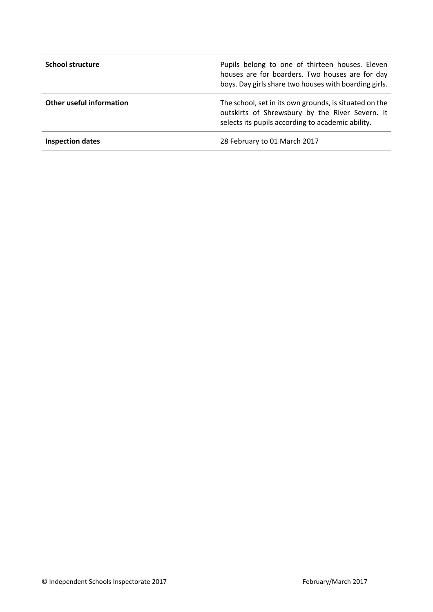| <b>School structure</b>  | Pupils belong to one of thirteen houses. Eleven<br>houses are for boarders. Two houses are for day<br>boys. Day girls share two houses with boarding girls.    |
|--------------------------|----------------------------------------------------------------------------------------------------------------------------------------------------------------|
| Other useful information | The school, set in its own grounds, is situated on the<br>outskirts of Shrewsbury by the River Severn. It<br>selects its pupils according to academic ability. |
| <b>Inspection dates</b>  | 28 February to 01 March 2017                                                                                                                                   |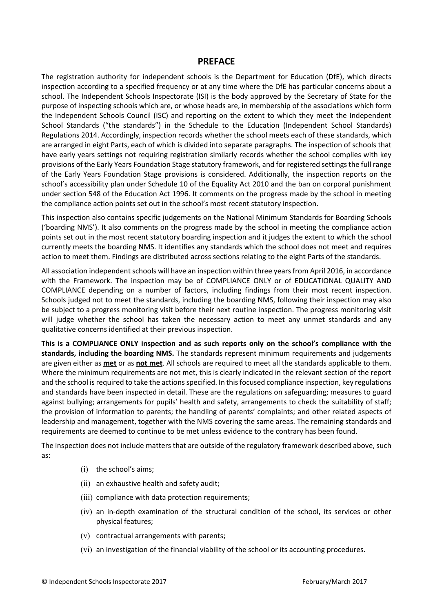#### **PREFACE**

The registration authority for independent schools is the Department for Education (DfE), which directs inspection according to a specified frequency or at any time where the DfE has particular concerns about a school. The Independent Schools Inspectorate (ISI) is the body approved by the Secretary of State for the purpose of inspecting schools which are, or whose heads are, in membership of the associations which form the Independent Schools Council (ISC) and reporting on the extent to which they meet the Independent School Standards ("the standards") in the Schedule to the Education (Independent School Standards) Regulations 2014. Accordingly, inspection records whether the school meets each of these standards, which are arranged in eight Parts, each of which is divided into separate paragraphs. The inspection of schools that have early years settings not requiring registration similarly records whether the school complies with key provisions of the Early Years Foundation Stage statutory framework, and for registered settings the full range of the Early Years Foundation Stage provisions is considered. Additionally, the inspection reports on the school's accessibility plan under Schedule 10 of the Equality Act 2010 and the ban on corporal punishment under section 548 of the Education Act 1996. It comments on the progress made by the school in meeting the compliance action points set out in the school's most recent statutory inspection.

This inspection also contains specific judgements on the National Minimum Standards for Boarding Schools ('boarding NMS'). It also comments on the progress made by the school in meeting the compliance action points set out in the most recent statutory boarding inspection and it judges the extent to which the school currently meets the boarding NMS. It identifies any standards which the school does not meet and requires action to meet them. Findings are distributed across sections relating to the eight Parts of the standards.

All association independent schools will have an inspection within three yearsfrom April 2016, in accordance with the Framework. The inspection may be of COMPLIANCE ONLY or of EDUCATIONAL QUALITY AND COMPLIANCE depending on a number of factors, including findings from their most recent inspection. Schools judged not to meet the standards, including the boarding NMS, following their inspection may also be subject to a progress monitoring visit before their next routine inspection. The progress monitoring visit will judge whether the school has taken the necessary action to meet any unmet standards and any qualitative concerns identified at their previous inspection.

**This is a COMPLIANCE ONLY inspection and as such reports only on the school's compliance with the standards, including the boarding NMS.** The standards represent minimum requirements and judgements are given either as **met** or as **not met**. All schools are required to meet all the standards applicable to them. Where the minimum requirements are not met, this is clearly indicated in the relevant section of the report and the school is required to take the actions specified. In this focused compliance inspection, key regulations and standards have been inspected in detail. These are the regulations on safeguarding; measures to guard against bullying; arrangements for pupils' health and safety, arrangements to check the suitability of staff; the provision of information to parents; the handling of parents' complaints; and other related aspects of leadership and management, together with the NMS covering the same areas. The remaining standards and requirements are deemed to continue to be met unless evidence to the contrary has been found.

The inspection does not include matters that are outside of the regulatory framework described above, such as:

- (i) the school's aims;
- (ii) an exhaustive health and safety audit;
- (iii) compliance with data protection requirements;
- (iv) an in-depth examination of the structural condition of the school, its services or other physical features;
- (v) contractual arrangements with parents;
- (vi) an investigation of the financial viability of the school or its accounting procedures.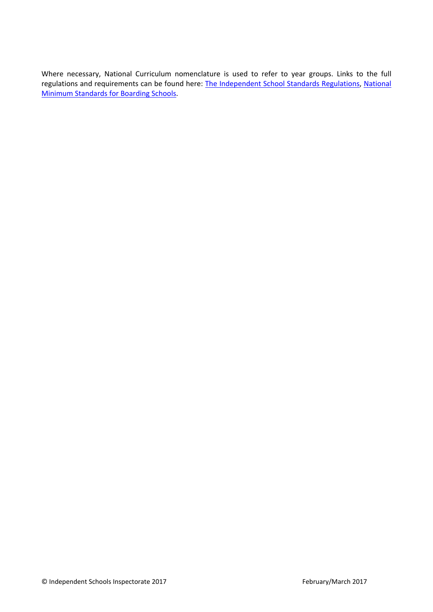Where necessary, National Curriculum nomenclature is used to refer to year groups. Links to the full regulations and requirements can be found here: The [Independent](http://www.legislation.gov.uk/uksi/2014/3283/contents/made) School Standards Regulations, [National](https://www.gov.uk/government/uploads/system/uploads/attachment_data/file/416186/20150319_nms_bs_standards.pdf) Minimum [Standards](https://www.gov.uk/government/uploads/system/uploads/attachment_data/file/416186/20150319_nms_bs_standards.pdf) for Boarding Schools.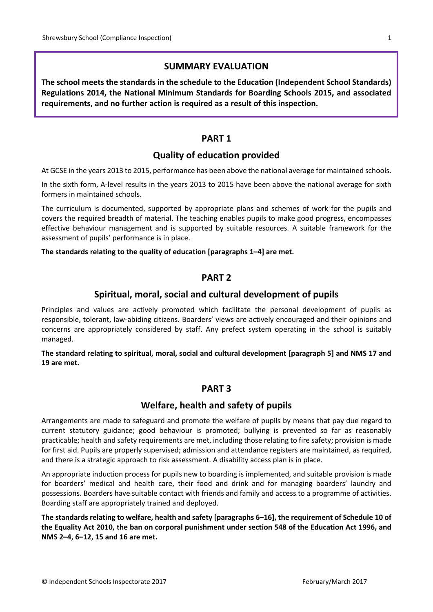# **SUMMARY EVALUATION**

**The school meets the standards in the schedule to the Education (Independent School Standards) Regulations 2014, the National Minimum Standards for Boarding Schools 2015, and associated requirements, and no further action is required as a result of this inspection.**

## **PART 1**

# **Quality of education provided**

At GCSE in the years 2013 to 2015, performance has been above the national average for maintained schools.

In the sixth form, A-level results in the years 2013 to 2015 have been above the national average for sixth formers in maintained schools.

The curriculum is documented, supported by appropriate plans and schemes of work for the pupils and covers the required breadth of material. The teaching enables pupils to make good progress, encompasses effective behaviour management and is supported by suitable resources. A suitable framework for the assessment of pupils' performance is in place.

#### **The standards relating to the quality of education [paragraphs 1–4] are met.**

#### **PART 2**

#### **Spiritual, moral, social and cultural development of pupils**

Principles and values are actively promoted which facilitate the personal development of pupils as responsible, tolerant, law-abiding citizens. Boarders' views are actively encouraged and their opinions and concerns are appropriately considered by staff. Any prefect system operating in the school is suitably managed.

**The standard relating to spiritual, moral, social and cultural development [paragraph 5] and NMS 17 and 19 are met.**

# **PART 3**

#### **Welfare, health and safety of pupils**

Arrangements are made to safeguard and promote the welfare of pupils by means that pay due regard to current statutory guidance; good behaviour is promoted; bullying is prevented so far as reasonably practicable; health and safety requirements are met, including those relating to fire safety; provision is made for first aid. Pupils are properly supervised; admission and attendance registers are maintained, as required, and there is a strategic approach to risk assessment. A disability access plan is in place.

An appropriate induction process for pupils new to boarding is implemented, and suitable provision is made for boarders' medical and health care, their food and drink and for managing boarders' laundry and possessions. Boarders have suitable contact with friends and family and access to a programme of activities. Boarding staff are appropriately trained and deployed.

**The standards relating to welfare, health and safety [paragraphs 6–16], the requirement of Schedule 10 of** the Equality Act 2010, the ban on corporal punishment under section 548 of the Education Act 1996, and **NMS 2–4, 6–12, 15 and 16 are met.**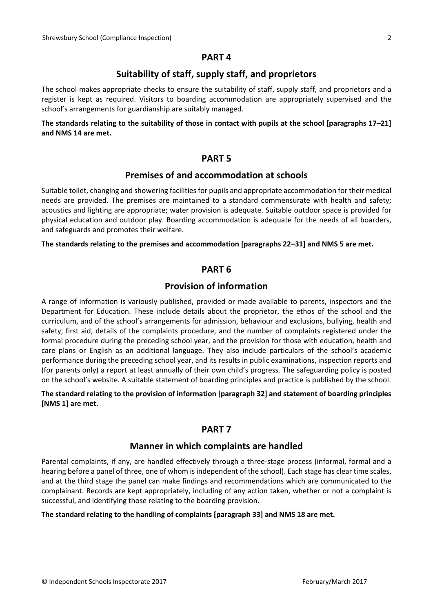#### **PART 4**

# **Suitability of staff, supply staff, and proprietors**

The school makes appropriate checks to ensure the suitability of staff, supply staff, and proprietors and a register is kept as required. Visitors to boarding accommodation are appropriately supervised and the school's arrangements for guardianship are suitably managed.

#### The standards relating to the suitability of those in contact with pupils at the school [paragraphs 17-21] **and NMS 14 are met.**

#### **PART 5**

#### **Premises of and accommodation at schools**

Suitable toilet, changing and showering facilities for pupils and appropriate accommodation for their medical needs are provided. The premises are maintained to a standard commensurate with health and safety; acoustics and lighting are appropriate; water provision is adequate. Suitable outdoor space is provided for physical education and outdoor play. Boarding accommodation is adequate for the needs of all boarders, and safeguards and promotes their welfare.

#### **The standards relating to the premises and accommodation [paragraphs 22–31] and NMS 5 are met.**

# **PART 6**

# **Provision of information**

A range of information is variously published, provided or made available to parents, inspectors and the Department for Education. These include details about the proprietor, the ethos of the school and the curriculum, and of the school's arrangements for admission, behaviour and exclusions, bullying, health and safety, first aid, details of the complaints procedure, and the number of complaints registered under the formal procedure during the preceding school year, and the provision for those with education, health and care plans or English as an additional language. They also include particulars of the school's academic performance during the preceding school year, and its results in public examinations, inspection reports and (for parents only) a report at least annually of their own child's progress. The safeguarding policy is posted on the school's website. A suitable statement of boarding principles and practice is published by the school.

#### **The standard relating to the provision of information [paragraph 32] and statement of boarding principles [NMS 1] are met.**

#### **PART 7**

#### **Manner in which complaints are handled**

Parental complaints, if any, are handled effectively through a three-stage process (informal, formal and a hearing before a panel of three, one of whom is independent of the school). Each stage has clear time scales, and at the third stage the panel can make findings and recommendations which are communicated to the complainant. Records are kept appropriately, including of any action taken, whether or not a complaint is successful, and identifying those relating to the boarding provision.

#### **The standard relating to the handling of complaints [paragraph 33] and NMS 18 are met.**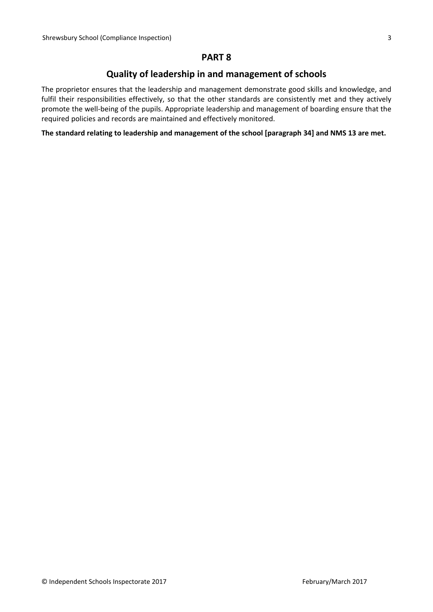## **PART 8**

# **Quality of leadership in and management of schools**

The proprietor ensures that the leadership and management demonstrate good skills and knowledge, and fulfil their responsibilities effectively, so that the other standards are consistently met and they actively promote the well-being of the pupils. Appropriate leadership and management of boarding ensure that the required policies and records are maintained and effectively monitored.

**The standard relating to leadership and management of the school [paragraph 34] and NMS 13 are met.**